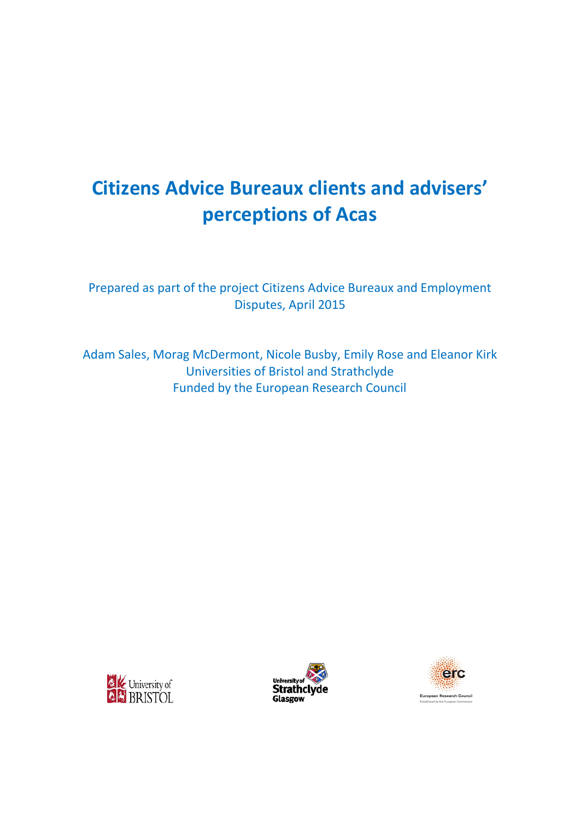# **Citizens Advice Bureaux clients and advisers' perceptions of Acas**

Prepared as part of the project Citizens Advice Bureaux and Employment Disputes, April 2015

Adam Sales, Morag McDermont, Nicole Busby, Emily Rose and Eleanor Kirk Universities of Bristol and Strathclyde Funded by the European Research Council





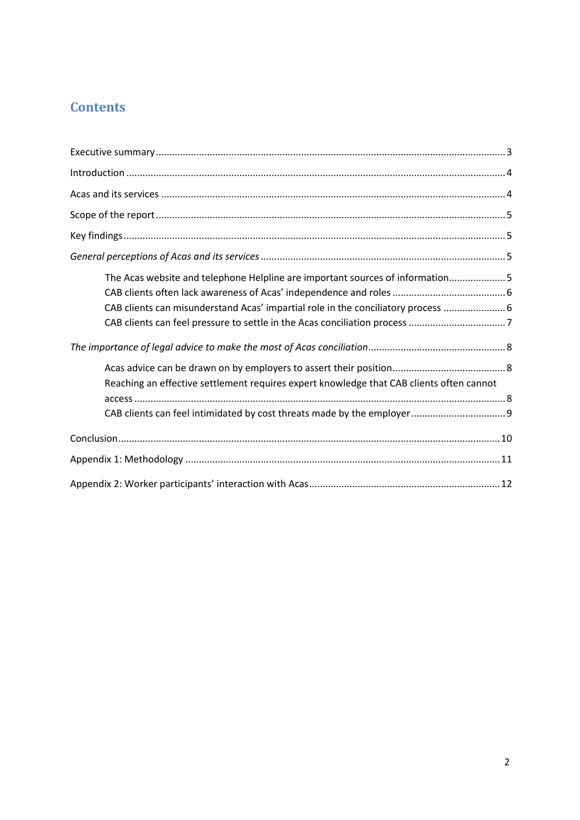# **Contents**

| The Acas website and telephone Helpline are important sources of information5<br>CAB clients can misunderstand Acas' impartial role in the conciliatory process  6 |
|--------------------------------------------------------------------------------------------------------------------------------------------------------------------|
|                                                                                                                                                                    |
| Reaching an effective settlement requires expert knowledge that CAB clients often cannot                                                                           |
|                                                                                                                                                                    |
|                                                                                                                                                                    |
|                                                                                                                                                                    |
|                                                                                                                                                                    |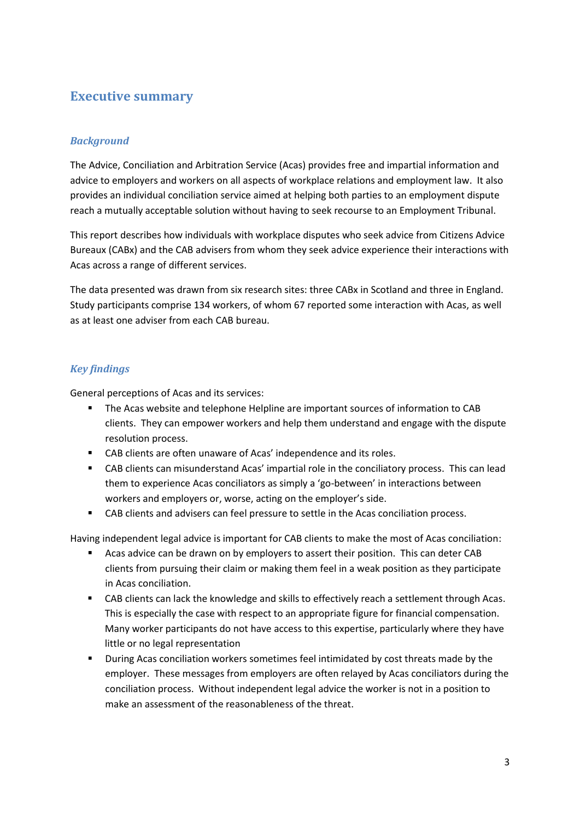### **Executive summary**

#### *Background*

The Advice, Conciliation and Arbitration Service (Acas) provides free and impartial information and advice to employers and workers on all aspects of workplace relations and employment law. It also provides an individual conciliation service aimed at helping both parties to an employment dispute reach a mutually acceptable solution without having to seek recourse to an Employment Tribunal.

This report describes how individuals with workplace disputes who seek advice from Citizens Advice Bureaux (CABx) and the CAB advisers from whom they seek advice experience their interactions with Acas across a range of different services.

The data presented was drawn from six research sites: three CABx in Scotland and three in England. Study participants comprise 134 workers, of whom 67 reported some interaction with Acas, as well as at least one adviser from each CAB bureau.

#### *Key findings*

General perceptions of Acas and its services:

- The Acas website and telephone Helpline are important sources of information to CAB clients. They can empower workers and help them understand and engage with the dispute resolution process.
- CAB clients are often unaware of Acas' independence and its roles.
- CAB clients can misunderstand Acas' impartial role in the conciliatory process. This can lead them to experience Acas conciliators as simply a 'go-between' in interactions between workers and employers or, worse, acting on the employer's side.
- CAB clients and advisers can feel pressure to settle in the Acas conciliation process.

Having independent legal advice is important for CAB clients to make the most of Acas conciliation:

- Acas advice can be drawn on by employers to assert their position. This can deter CAB clients from pursuing their claim or making them feel in a weak position as they participate in Acas conciliation.
- CAB clients can lack the knowledge and skills to effectively reach a settlement through Acas. This is especially the case with respect to an appropriate figure for financial compensation. Many worker participants do not have access to this expertise, particularly where they have little or no legal representation
- **During Acas conciliation workers sometimes feel intimidated by cost threats made by the** employer. These messages from employers are often relayed by Acas conciliators during the conciliation process. Without independent legal advice the worker is not in a position to make an assessment of the reasonableness of the threat.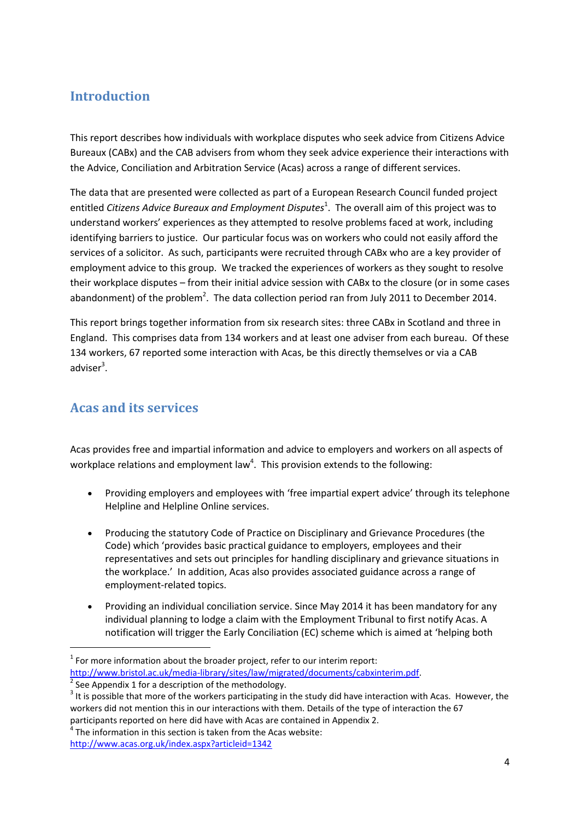### **Introduction**

This report describes how individuals with workplace disputes who seek advice from Citizens Advice Bureaux (CABx) and the CAB advisers from whom they seek advice experience their interactions with the Advice, Conciliation and Arbitration Service (Acas) across a range of different services.

The data that are presented were collected as part of a European Research Council funded project entitled *Citizens Advice Bureaux and Employment Disputes*<sup>1</sup>. The overall aim of this project was to understand workers' experiences as they attempted to resolve problems faced at work, including identifying barriers to justice. Our particular focus was on workers who could not easily afford the services of a solicitor. As such, participants were recruited through CABx who are a key provider of employment advice to this group. We tracked the experiences of workers as they sought to resolve their workplace disputes – from their initial advice session with CABx to the closure (or in some cases abandonment) of the problem<sup>2</sup>. The data collection period ran from July 2011 to December 2014.

This report brings together information from six research sites: three CABx in Scotland and three in England. This comprises data from 134 workers and at least one adviser from each bureau. Of these 134 workers, 67 reported some interaction with Acas, be this directly themselves or via a CAB adviser<sup>3</sup>.

### **Acas and its services**

1

Acas provides free and impartial information and advice to employers and workers on all aspects of workplace relations and employment law<sup>4</sup>. This provision extends to the following:

- Providing employers and employees with 'free impartial expert advice' through its telephone [Helpline](http://www.acas.org.uk/index.aspx?articleid=2042) and [Helpline Online](http://www.acas.org.uk/index.aspx?articleid=4489) services.
- Producing the statutory Code of Practice on Disciplinary and Grievance Procedures (the Code) which 'provides basic practical guidance to employers, employees and their representatives and sets out principles for handling disciplinary and grievance situations in the workplace.' In addition, Acas also provides associated guidance across a range of employment-related topics.
- Providing an [individual conciliation](http://www.acas.org.uk/index.aspx?articleid=4028) service. Since May 2014 it has been mandatory for any individual planning to lodge a claim with the Employment Tribunal to first notify Acas. A notification will trigger the Early Conciliation (EC) scheme which is aimed at 'helping both

 $1$  For more information about the broader project, refer to our interim report: http://www.bristol.ac.uk/media-library/sites/law/migrated/documents/cabxinterim.pdf.<br><sup>2</sup> See Appendix 1 for a description of the methodology.

 $3$  It is possible that more of the workers participating in the study did have interaction with Acas. However, the workers did not mention this in our interactions with them. Details of the type of interaction the 67 participants reported on here did have with Acas are contained in Appendix 2.

 $4$  The information in this section is taken from the Acas website: <http://www.acas.org.uk/index.aspx?articleid=1342>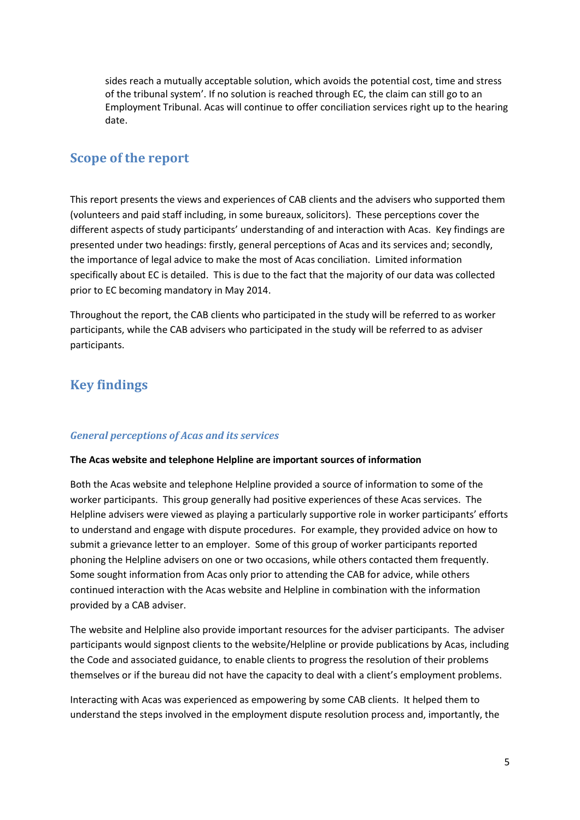sides reach a mutually acceptable solution, which avoids the potential cost, time and stress of the tribunal system'. If no solution is reached through EC, the claim can still go to an Employment Tribunal. Acas will continue to offer conciliation services right up to the hearing date.

### **Scope of the report**

This report presents the views and experiences of CAB clients and the advisers who supported them (volunteers and paid staff including, in some bureaux, solicitors). These perceptions cover the different aspects of study participants' understanding of and interaction with Acas. Key findings are presented under two headings: firstly, general perceptions of Acas and its services and; secondly, the importance of legal advice to make the most of Acas conciliation. Limited information specifically about EC is detailed. This is due to the fact that the majority of our data was collected prior to EC becoming mandatory in May 2014.

Throughout the report, the CAB clients who participated in the study will be referred to as worker participants, while the CAB advisers who participated in the study will be referred to as adviser participants.

### **Key findings**

#### *General perceptions of Acas and its services*

#### **The Acas website and telephone Helpline are important sources of information**

Both the Acas website and telephone Helpline provided a source of information to some of the worker participants. This group generally had positive experiences of these Acas services. The Helpline advisers were viewed as playing a particularly supportive role in worker participants' efforts to understand and engage with dispute procedures. For example, they provided advice on how to submit a grievance letter to an employer. Some of this group of worker participants reported phoning the Helpline advisers on one or two occasions, while others contacted them frequently. Some sought information from Acas only prior to attending the CAB for advice, while others continued interaction with the Acas website and Helpline in combination with the information provided by a CAB adviser.

The website and Helpline also provide important resources for the adviser participants. The adviser participants would signpost clients to the website/Helpline or provide publications by Acas, including the Code and associated guidance, to enable clients to progress the resolution of their problems themselves or if the bureau did not have the capacity to deal with a client's employment problems.

Interacting with Acas was experienced as empowering by some CAB clients. It helped them to understand the steps involved in the employment dispute resolution process and, importantly, the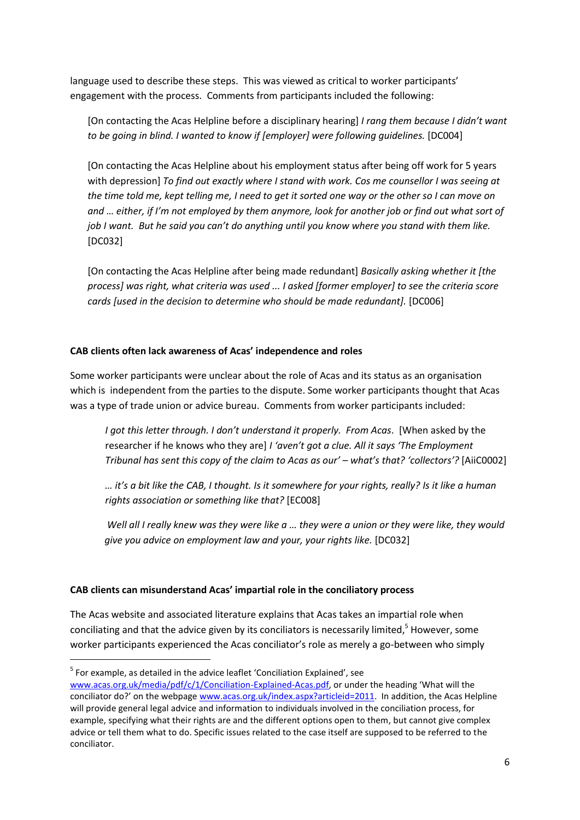language used to describe these steps. This was viewed as critical to worker participants' engagement with the process. Comments from participants included the following:

[On contacting the Acas Helpline before a disciplinary hearing] *I rang them because I didn't want to be going in blind. I wanted to know if [employer] were following guidelines.* [DC004]

[On contacting the Acas Helpline about his employment status after being off work for 5 years with depression] *To find out exactly where I stand with work. Cos me counsellor I was seeing at the time told me, kept telling me, I need to get it sorted one way or the other so I can move on and … either, if I'm not employed by them anymore, look for another job or find out what sort of job I want. But he said you can't do anything until you know where you stand with them like.*  [DC032]

[On contacting the Acas Helpline after being made redundant] *Basically asking whether it [the process] was right, what criteria was used ... I asked [former employer] to see the criteria score cards [used in the decision to determine who should be made redundant].* [DC006]

#### **CAB clients often lack awareness of Acas' independence and roles**

Some worker participants were unclear about the role of Acas and its status as an organisation which is independent from the parties to the dispute. Some worker participants thought that Acas was a type of trade union or advice bureau. Comments from worker participants included:

*I got this letter through. I don't understand it properly. From Acas*. [When asked by the researcher if he knows who they are] *I 'aven't got a clue. All it says 'The Employment Tribunal has sent this copy of the claim to Acas as our' – what's that? 'collectors'?* [AiiC0002]

*… it's a bit like the CAB, I thought. Is it somewhere for your rights, really? Is it like a human rights association or something like that?* [EC008]

*Well all I really knew was they were like a … they were a union or they were like, they would give you advice on employment law and your, your rights like.* [DC032]

#### **CAB clients can misunderstand Acas' impartial role in the conciliatory process**

The Acas website and associated literature explains that Acas takes an impartial role when conciliating and that the advice given by its conciliators is necessarily limited, $5$  However, some worker participants experienced the Acas conciliator's role as merely a go-between who simply

**.** 

 $5$  For example, as detailed in the advice leaflet 'Conciliation Explained', see

[www.acas.org.uk/media/pdf/c/1/Conciliation-Explained-Acas.pdf](http://www.acas.org.uk/media/pdf/c/1/Conciliation-Explained-Acas.pdf), or under the heading 'What will the conciliator do?' on the webpage [www.acas.org.uk/index.aspx?articleid=2011.](http://www.acas.org.uk/index.aspx?articleid=2011) In addition, the Acas Helpline will provide general legal advice and information to individuals involved in the conciliation process, for example, specifying what their rights are and the different options open to them, but cannot give complex advice or tell them what to do. Specific issues related to the case itself are supposed to be referred to the conciliator.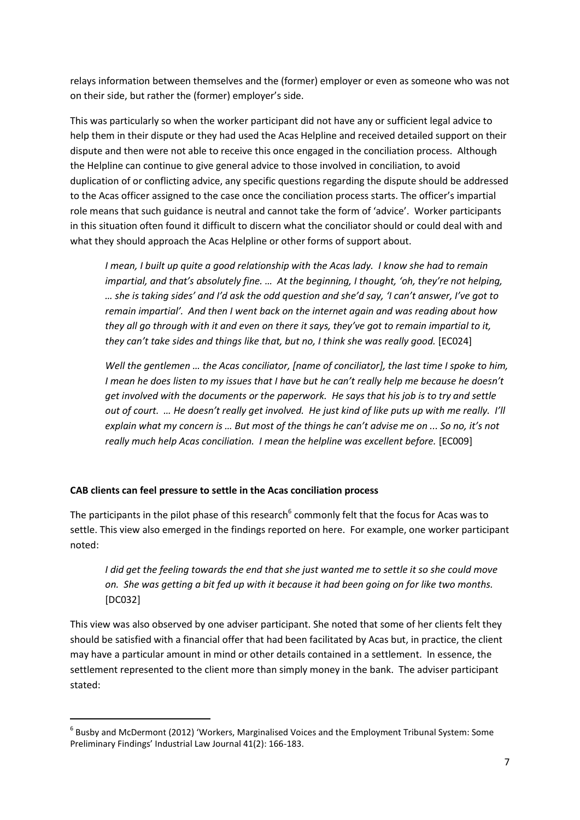relays information between themselves and the (former) employer or even as someone who was not on their side, but rather the (former) employer's side.

This was particularly so when the worker participant did not have any or sufficient legal advice to help them in their dispute or they had used the Acas Helpline and received detailed support on their dispute and then were not able to receive this once engaged in the conciliation process. Although the Helpline can continue to give general advice to those involved in conciliation, to avoid duplication of or conflicting advice, any specific questions regarding the dispute should be addressed to the Acas officer assigned to the case once the conciliation process starts. The officer's impartial role means that such guidance is neutral and cannot take the form of 'advice'. Worker participants in this situation often found it difficult to discern what the conciliator should or could deal with and what they should approach the Acas Helpline or other forms of support about.

*I mean, I built up quite a good relationship with the Acas lady. I know she had to remain impartial, and that's absolutely fine. … At the beginning, I thought, 'oh, they're not helping, … she is taking sides' and I'd ask the odd question and she'd say, 'I can't answer, I've got to remain impartial'. And then I went back on the internet again and was reading about how they all go through with it and even on there it says, they've got to remain impartial to it, they can't take sides and things like that, but no, I think she was really good.* [EC024]

*Well the gentlemen … the Acas conciliator, [name of conciliator], the last time I spoke to him, I mean he does listen to my issues that I have but he can't really help me because he doesn't get involved with the documents or the paperwork. He says that his job is to try and settle out of court. … He doesn't really get involved. He just kind of like puts up with me really. I'll explain what my concern is … But most of the things he can't advise me on ... So no, it's not really much help Acas conciliation. I mean the helpline was excellent before.* [EC009]

#### **CAB clients can feel pressure to settle in the Acas conciliation process**

**.** 

The participants in the pilot phase of this research<sup>6</sup> commonly felt that the focus for Acas was to settle. This view also emerged in the findings reported on here. For example, one worker participant noted:

*I did get the feeling towards the end that she just wanted me to settle it so she could move on. She was getting a bit fed up with it because it had been going on for like two months.*  [DC032]

This view was also observed by one adviser participant. She noted that some of her clients felt they should be satisfied with a financial offer that had been facilitated by Acas but, in practice, the client may have a particular amount in mind or other details contained in a settlement. In essence, the settlement represented to the client more than simply money in the bank. The adviser participant stated:

<sup>6</sup> Busby and McDermont (2012) 'Workers, Marginalised Voices and the Employment Tribunal System: Some Preliminary Findings' Industrial Law Journal 41(2): 166-183.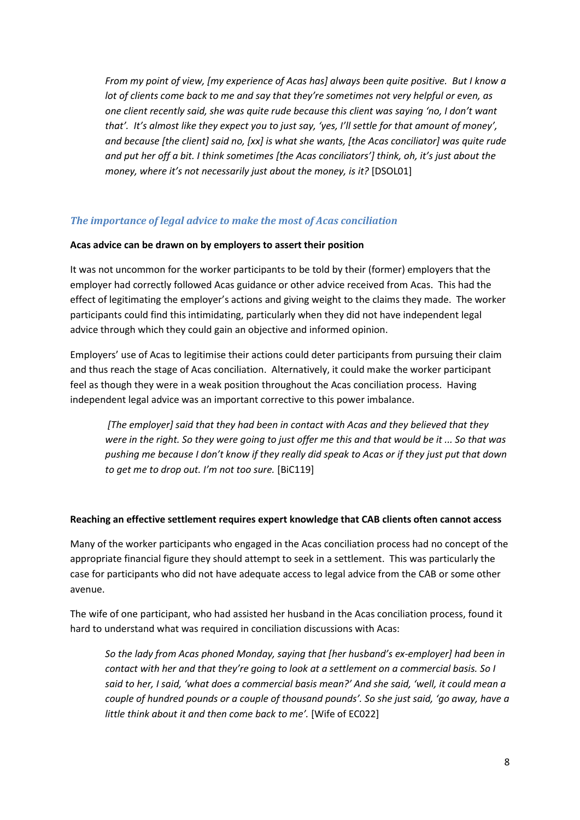*From my point of view, [my experience of Acas has] always been quite positive. But I know a lot of clients come back to me and say that they're sometimes not very helpful or even, as one client recently said, she was quite rude because this client was saying 'no, I don't want that'. It's almost like they expect you to just say, 'yes, I'll settle for that amount of money', and because [the client] said no, [xx] is what she wants, [the Acas conciliator] was quite rude and put her off a bit. I think sometimes [the Acas conciliators'] think, oh, it's just about the money, where it's not necessarily just about the money, is it?* [DSOL01]

#### *The importance of legal advice to make the most of Acas conciliation*

#### **Acas advice can be drawn on by employers to assert their position**

It was not uncommon for the worker participants to be told by their (former) employers that the employer had correctly followed Acas guidance or other advice received from Acas. This had the effect of legitimating the employer's actions and giving weight to the claims they made. The worker participants could find this intimidating, particularly when they did not have independent legal advice through which they could gain an objective and informed opinion.

Employers' use of Acas to legitimise their actions could deter participants from pursuing their claim and thus reach the stage of Acas conciliation. Alternatively, it could make the worker participant feel as though they were in a weak position throughout the Acas conciliation process. Having independent legal advice was an important corrective to this power imbalance.

*[The employer] said that they had been in contact with Acas and they believed that they were in the right. So they were going to just offer me this and that would be it ... So that was pushing me because I don't know if they really did speak to Acas or if they just put that down to get me to drop out. I'm not too sure.* [BiC119]

#### **Reaching an effective settlement requires expert knowledge that CAB clients often cannot access**

Many of the worker participants who engaged in the Acas conciliation process had no concept of the appropriate financial figure they should attempt to seek in a settlement. This was particularly the case for participants who did not have adequate access to legal advice from the CAB or some other avenue.

The wife of one participant, who had assisted her husband in the Acas conciliation process, found it hard to understand what was required in conciliation discussions with Acas:

*So the lady from Acas phoned Monday, saying that [her husband's ex-employer] had been in contact with her and that they're going to look at a settlement on a commercial basis. So I said to her, I said, 'what does a commercial basis mean?' And she said, 'well, it could mean a couple of hundred pounds or a couple of thousand pounds'. So she just said, 'go away, have a*  little think about it and then come back to me'. [Wife of EC022]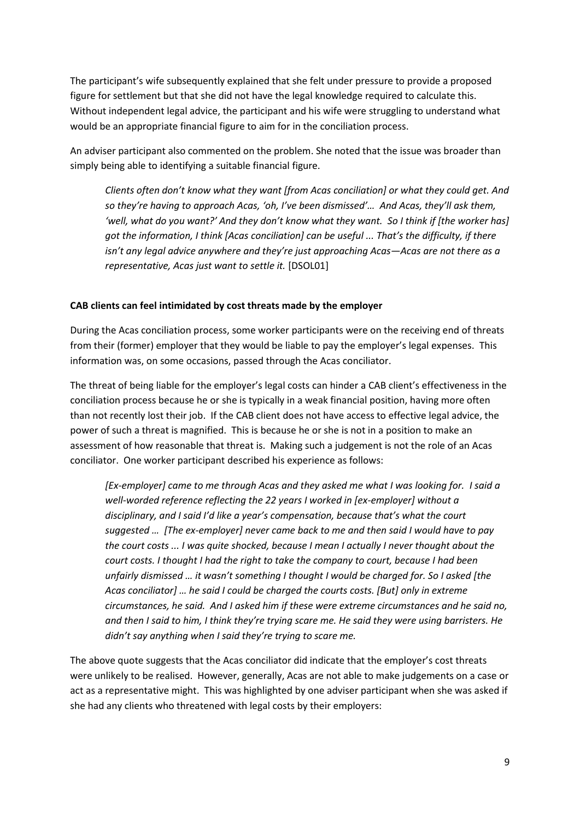The participant's wife subsequently explained that she felt under pressure to provide a proposed figure for settlement but that she did not have the legal knowledge required to calculate this. Without independent legal advice, the participant and his wife were struggling to understand what would be an appropriate financial figure to aim for in the conciliation process.

An adviser participant also commented on the problem. She noted that the issue was broader than simply being able to identifying a suitable financial figure.

*Clients often don't know what they want [from Acas conciliation] or what they could get. And so they're having to approach Acas, 'oh, I've been dismissed'… And Acas, they'll ask them, 'well, what do you want?' And they don't know what they want. So I think if [the worker has] got the information, I think [Acas conciliation] can be useful ... That's the difficulty, if there isn't any legal advice anywhere and they're just approaching Acas—Acas are not there as a representative, Acas just want to settle it.* [DSOL01]

#### **CAB clients can feel intimidated by cost threats made by the employer**

During the Acas conciliation process, some worker participants were on the receiving end of threats from their (former) employer that they would be liable to pay the employer's legal expenses. This information was, on some occasions, passed through the Acas conciliator.

The threat of being liable for the employer's legal costs can hinder a CAB client's effectiveness in the conciliation process because he or she is typically in a weak financial position, having more often than not recently lost their job. If the CAB client does not have access to effective legal advice, the power of such a threat is magnified. This is because he or she is not in a position to make an assessment of how reasonable that threat is. Making such a judgement is not the role of an Acas conciliator. One worker participant described his experience as follows:

*[Ex-employer] came to me through Acas and they asked me what I was looking for. I said a well-worded reference reflecting the 22 years I worked in [ex-employer] without a disciplinary, and I said I'd like a year's compensation, because that's what the court suggested … [The ex-employer] never came back to me and then said I would have to pay the court costs ... I was quite shocked, because I mean I actually I never thought about the court costs. I thought I had the right to take the company to court, because I had been unfairly dismissed … it wasn't something I thought I would be charged for. So I asked [the Acas conciliator] … he said I could be charged the courts costs. [But] only in extreme circumstances, he said. And I asked him if these were extreme circumstances and he said no, and then I said to him, I think they're trying scare me. He said they were using barristers. He didn't say anything when I said they're trying to scare me.*

The above quote suggests that the Acas conciliator did indicate that the employer's cost threats were unlikely to be realised. However, generally, Acas are not able to make judgements on a case or act as a representative might. This was highlighted by one adviser participant when she was asked if she had any clients who threatened with legal costs by their employers: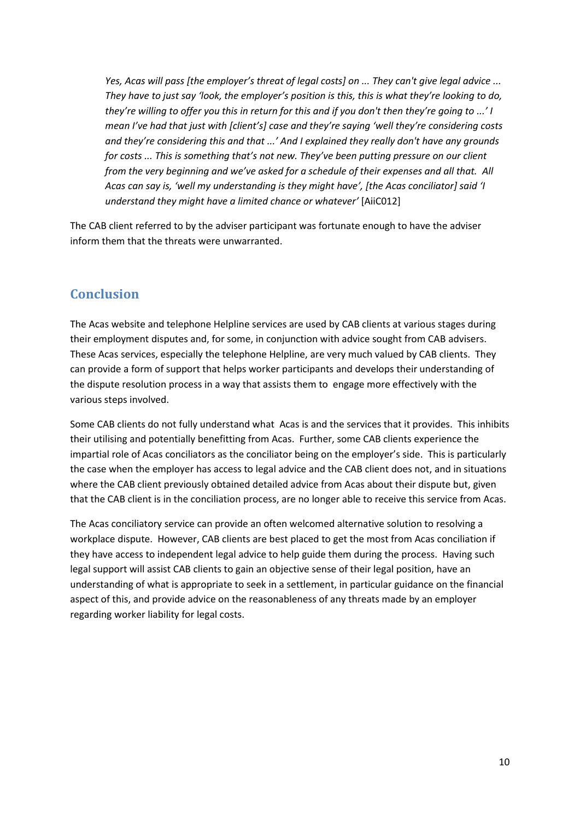*Yes, Acas will pass [the employer's threat of legal costs] on ... They can't give legal advice ... They have to just say 'look, the employer's position is this, this is what they're looking to do, they're willing to offer you this in return for this and if you don't then they're going to ...' I mean I've had that just with [client's] case and they're saying 'well they're considering costs and they're considering this and that ...' And I explained they really don't have any grounds for costs ... This is something that's not new. They've been putting pressure on our client from the very beginning and we've asked for a schedule of their expenses and all that. All Acas can say is, 'well my understanding is they might have', [the Acas conciliator] said 'I understand they might have a limited chance or whatever'* [AiiC012]

The CAB client referred to by the adviser participant was fortunate enough to have the adviser inform them that the threats were unwarranted.

### **Conclusion**

The Acas website and telephone Helpline services are used by CAB clients at various stages during their employment disputes and, for some, in conjunction with advice sought from CAB advisers. These Acas services, especially the telephone Helpline, are very much valued by CAB clients. They can provide a form of support that helps worker participants and develops their understanding of the dispute resolution process in a way that assists them to engage more effectively with the various steps involved.

Some CAB clients do not fully understand what Acas is and the services that it provides. This inhibits their utilising and potentially benefitting from Acas. Further, some CAB clients experience the impartial role of Acas conciliators as the conciliator being on the employer's side. This is particularly the case when the employer has access to legal advice and the CAB client does not, and in situations where the CAB client previously obtained detailed advice from Acas about their dispute but, given that the CAB client is in the conciliation process, are no longer able to receive this service from Acas.

The Acas conciliatory service can provide an often welcomed alternative solution to resolving a workplace dispute. However, CAB clients are best placed to get the most from Acas conciliation if they have access to independent legal advice to help guide them during the process. Having such legal support will assist CAB clients to gain an objective sense of their legal position, have an understanding of what is appropriate to seek in a settlement, in particular guidance on the financial aspect of this, and provide advice on the reasonableness of any threats made by an employer regarding worker liability for legal costs.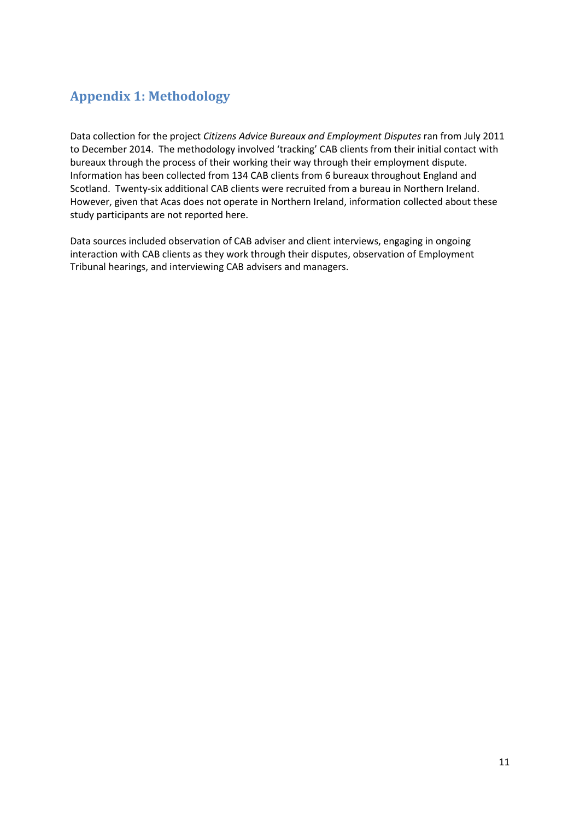# **Appendix 1: Methodology**

Data collection for the project *Citizens Advice Bureaux and Employment Disputes* ran from July 2011 to December 2014. The methodology involved 'tracking' CAB clients from their initial contact with bureaux through the process of their working their way through their employment dispute. Information has been collected from 134 CAB clients from 6 bureaux throughout England and Scotland. Twenty-six additional CAB clients were recruited from a bureau in Northern Ireland. However, given that Acas does not operate in Northern Ireland, information collected about these study participants are not reported here.

Data sources included observation of CAB adviser and client interviews, engaging in ongoing interaction with CAB clients as they work through their disputes, observation of Employment Tribunal hearings, and interviewing CAB advisers and managers.